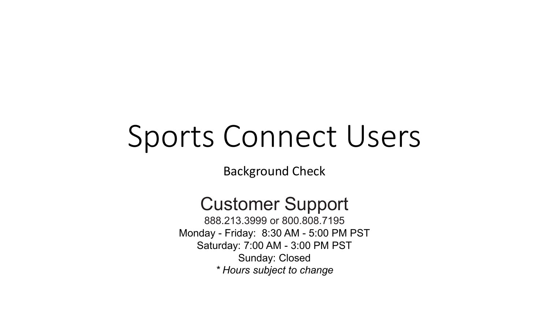# Sports Connect Users

Background Check

# Customer Support

888.213.3999 or 800.808.7195 Monday - Friday: 8:30 AM - 5:00 PM PST Saturday: 7:00 AM - 3:00 PM PST Sunday: Closed *\* Hours subject to change*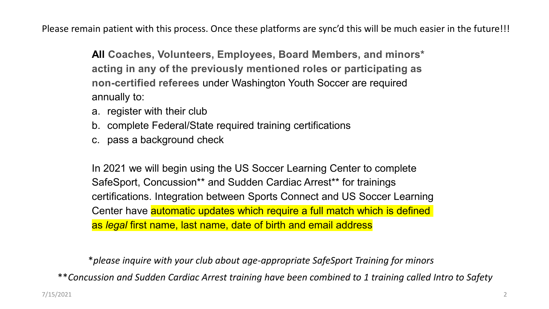Please remain patient with this process. Once these platforms are sync'd this will be much easier in the future!!!

**All Coaches, Volunteers, Employees, Board Members, and minors\* acting in any of the previously mentioned roles or participating as non-certified referees** under Washington Youth Soccer are required annually to:

- a. register with their club
- b. complete Federal/State required training certifications
- c. pass a background check

In 2021 we will begin using the US Soccer Learning Center to complete SafeSport, Concussion\*\* and Sudden Cardiac Arrest\*\* for trainings certifications. Integration between Sports Connect and US Soccer Learning Center have **automatic updates which require a full match which is defined** as *legal* first name, last name, date of birth and email address

\**please inquire with your club about age-appropriate SafeSport Training for minors*

\*\**Concussion and Sudden Cardiac Arrest training have been combined to 1 training called Intro to Safety*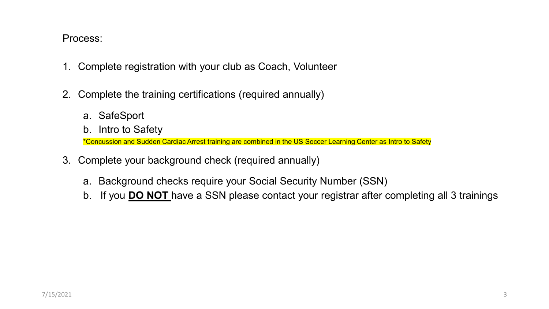### Process:

- 1. Complete registration with your club as Coach, Volunteer
- 2. Complete the training certifications (required annually)
	- a. SafeSport
	- b. Intro to Safety

\*Concussion and Sudden Cardiac Arrest training are combined in the US Soccer Learning Center as Intro to Safety

- 3. Complete your background check (required annually)
	- a. Background checks require your Social Security Number (SSN)
	- b. If you **DO NOT** have a SSN please contact your registrar after completing all 3 trainings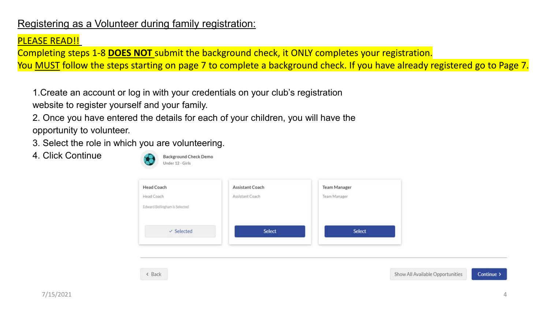## Registering as a Volunteer during family registration:

#### PLEASE READ!!

Completing steps 1-8 **DOES NOT** submit the background check, it ONLY completes your registration. You MUST follow the steps starting on page 7 to complete a background check. If you have already registered go to Page 7.

1.Create an account or log in with your credentials on your club's registration website to register yourself and your family.

2. Once you have entered the details for each of your children, you will have the opportunity to volunteer.

3. Select the role in which you are volunteering.

4. Click Continue



< Back

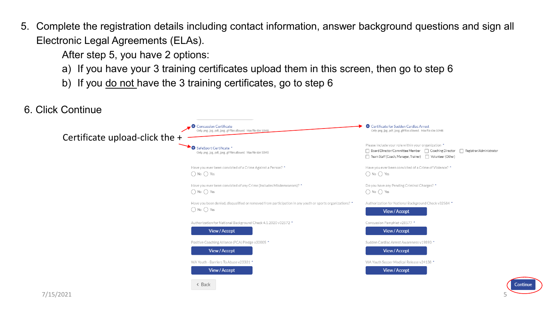5. Complete the registration details including contact information, answer background questions and sign all Electronic Legal Agreements (ELAs).

After step 5, you have 2 options:

- a) If you have your 3 training certificates upload them in this screen, then go to step 6
- b) If you do not have the 3 training certificates, go to step 6

```
6. Click Continue 
                                                                                                      Concussion Certificate
                                                                                                                                                                                                                  Certificate for Sudden Cardiac Arrest
                                                                                                          Only .png, .jpg, .pdf, .jpeg, .gif files allowed. Max file size 10ME
                                                                                                                                                                                                                      Only .png, .jpg, .pdf, .jpeg, .gif files allowed. Max file size 10MB
                       Certificate upload-click the
                                                                                                                                                                                                                  Please include your role within your organization *
                                                                                                       SafeSport Certificate *
                                                                                                                                                                                                                  □ Board Director/Committee Member □ Coaching Director □ Registrar/Administrator
                                                                                                          Only.png..jpg..pdf..jpeg..gif files allowed. Max file size 10MB
                                                                                                                                                                                                                  Team Staff (Coach, Manager, Trainer) | Volunteer (Other)
                                                                                                      Have you ever been convicted of a Crime Against a Person? *
                                                                                                                                                                                                                  Have you ever been convicted of a Crime of Violence? *
                                                                                                      \bigcap No \bigcap Yes
                                                                                                                                                                                                                  \bigcap No \bigcap Yes
                                                                                                      Have you ever been convicted of any Crime (Includes Misdemeanors)? *
                                                                                                                                                                                                                  Do you have any Pending Criminal Charges? *
                                                                                                      \bigcap No \bigcap Yes
                                                                                                                                                                                                                  \bigcap No \bigcap Yes
                                                                                                      Have you been denied, disqualified or removed from participation in any youth or sports organizations? *
                                                                                                                                                                                                                  Authorization for National Background Check v32584 *
                                                                                                      \bigcap No \bigcap Yes
                                                                                                                                                                                                                            View / Accept
                                                                                                      Authorization for National Background Check 4.1.2020 v32572 *
                                                                                                                                                                                                                  Concussion Pamphlet v28577 *
                                                                                                                  View / Accept
                                                                                                                                                                                                                             View / Accept
                                                                                                      Positive Coaching Alliance (PCA) Pledge v30005 *
                                                                                                                                                                                                                  Sudden Cardiac Arrest Awareness v19893 *
                                                                                                                  View / Accept
                                                                                                                                                                                                                            View / Accept
                                                                                                      WA Youth - Barriers To Abuse v23331 *
                                                                                                                                                                                                                  WA Youth Soccer Medical Release v24138 *
                                                                                                                  View / Accept
                                                                                                                                                                                                                            View / Accept
                                                                                                          < Back
```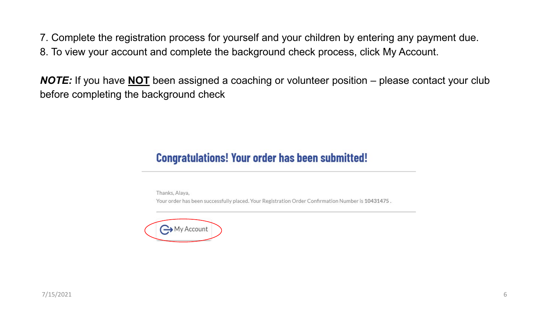7. Complete the registration process for yourself and your children by entering any payment due.

8. To view your account and complete the background check process, click My Account.

*NOTE:* If you have **NOT** been assigned a coaching or volunteer position – please contact your club before completing the background check

## **Congratulations! Your order has been submitted!**

Thanks, Alaya,

Your order has been successfully placed. Your Registration Order Confirmation Number is 10431475.

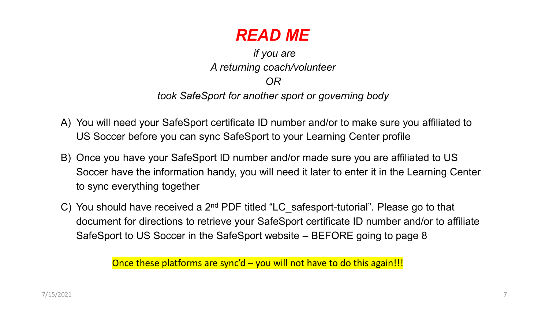

*if you are A returning coach/volunteer OR took SafeSport for another sport or governing body* 

- A) You will need your SafeSport certificate ID number and/or to make sure you affiliated to US Soccer before you can sync SafeSport to your Learning Center profile
- B) Once you have your SafeSport ID number and/or made sure you are affiliated to US Soccer have the information handy, you will need it later to enter it in the Learning Center to sync everything together
- C) You should have received a 2<sup>nd</sup> PDF titled "LC\_safesport-tutorial". Please go to that document for directions to retrieve your SafeSport certificate ID number and/or to affiliate SafeSport to US Soccer in the SafeSport website – BEFORE going to page 8

Once these platforms are sync'd - you will not have to do this again!!!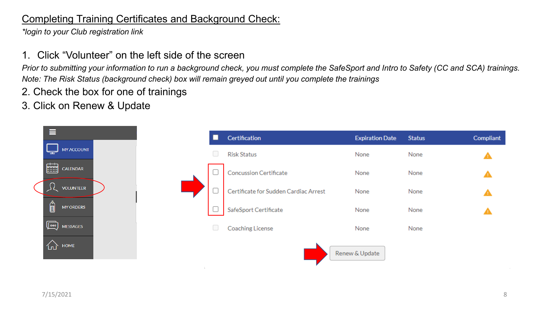## Completing Training Certificates and Background Check:

*\*login to your Club registration link*

1. Click "Volunteer" on the left side of the screen

*Prior to submitting your information to run a background check, you must complete the SafeSport and Intro to Safety (CC and SCA) trainings. Note: The Risk Status (background check) box will remain greyed out until you complete the trainings*

- 2. Check the box for one of trainings
- 3. Click on Renew & Update

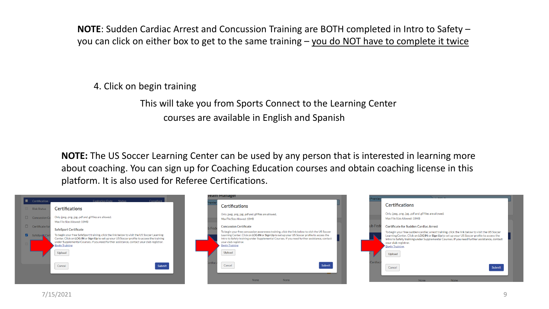**NOTE**: Sudden Cardiac Arrest and Concussion Training are BOTH completed in Intro to Safety – you can click on either box to get to the same training – you do NOT have to complete it twice

4. Click on begin training

This will take you from Sports Connect to the Learning Center courses are available in English and Spanish

**NOTE:** The US Soccer Learning Center can be used by any person that is interested in learning more about coaching. You can sign up for Coaching Education courses and obtain coaching license in this platform. It is also used for Referee Certifications.

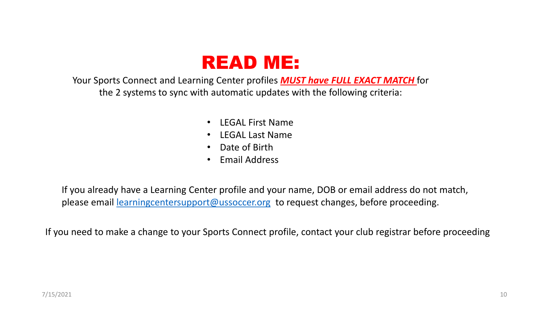

Your Sports Connect and Learning Center profiles *MUST have FULL EXACT MATCH* for the 2 systems to sync with automatic updates with the following criteria:

- LEGAL First Name
- LEGAL Last Name
- Date of Birth
- Email Address

If you already have a Learning Center profile and your name, DOB or email address do not match, please email [learningcentersupport@ussoccer.org](mailto:learningcentersupport@ussoccer.org) to request changes, before proceeding.

If you need to make a change to your Sports Connect profile, contact your club registrar before proceeding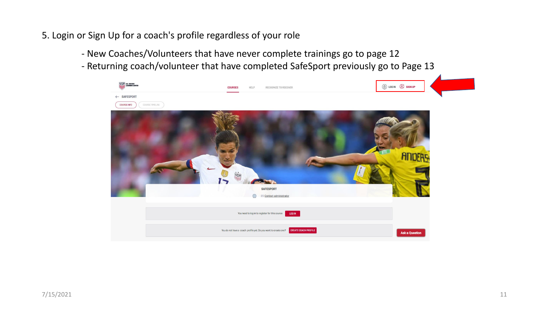- 5. Login or Sign Up for a coach's profile regardless of your role
	- New Coaches/Volunteers that have never complete trainings go to page 12
	- Returning coach/volunteer that have completed SafeSport previously go to Page 13

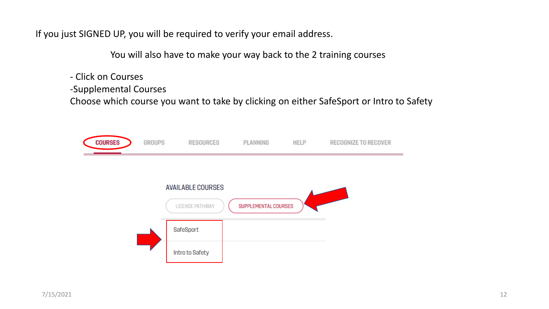If you just SIGNED UP, you will be required to verify your email address.

You will also have to make your way back to the 2 training courses

- Click on Courses

-Supplemental Courses

Choose which course you want to take by clicking on either SafeSport or Intro to Safety

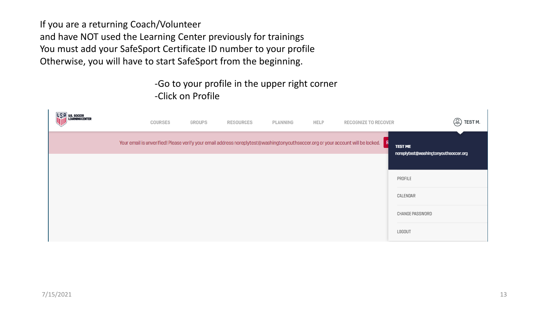If you are a returning Coach/Volunteer and have NOT used the Learning Center previously for trainings You must add your SafeSport Certificate ID number to your profile Otherwise, you will have to start SafeSport from the beginning.

## -Go to your profile in the upper right corner -Click on Profile

| COURSES | GROUPS | RESOURCES | PLANNING | HELP | RECOGNIZE TO RECOVER                                                                                                               | ⊗<br>TEST <sub>M.</sub>                                 |
|---------|--------|-----------|----------|------|------------------------------------------------------------------------------------------------------------------------------------|---------------------------------------------------------|
|         |        |           |          |      | Your email is unverified! Please verify your email address noreplytest@washingtonyouthsoccer.org or your account will be locked. F | <b>TEST ME</b><br>noreplytest@washingtonyouthsoccer.org |
|         |        |           |          |      |                                                                                                                                    |                                                         |
|         |        |           |          |      |                                                                                                                                    | PROFILE                                                 |
|         |        |           |          |      |                                                                                                                                    | CALENDAR                                                |
|         |        |           |          |      |                                                                                                                                    | CHANGE PASSWORD                                         |
|         |        |           |          |      |                                                                                                                                    | LOGOUT                                                  |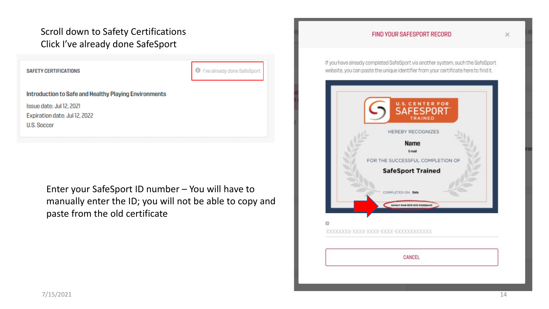## Scroll down to Safety Certifications Click I've already done SafeSport

**SAFETY CERTIFICATIONS** 

**O** I've already done SafeSport

Introduction to Safe and Healthy Playing Environments

Issue date: Jul 12, 2021 Expiration date: Jul 12, 2022 **U.S. Soccer** 

> Enter your SafeSport ID number – You will have to manually enter the ID; you will not be able to copy and paste from the old certificate

## FIND YOUR SAFESPORT RECORD

If you have already completed SafeSport via another system, such the SafeSport website, you can paste the unique identifier from your certificate here to find it.



 $\times$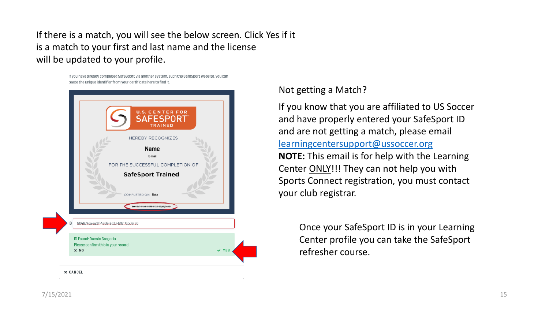If there is a match, you will see the below screen. Click Yes if it is a match to your first and last name and the license will be updated to your profile.

> If you have already completed SafeSport via another system, such the SafeSport website, you can paste the unique identifier from your certificate here to find it.



Not getting a Match?

If you know that you are affiliated to US Soccer and have properly entered your SafeSport ID and are not getting a match, please email [learningcentersupport@ussoccer.org](mailto:learningcentersupport@ussoccer.org) **NOTE:** This email is for help with the Learning Center ONLY!!! They can not help you with Sports Connect registration, you must contact your club registrar.

> Once your SafeSport ID is in your Learning Center profile you can take the SafeSport refresher course.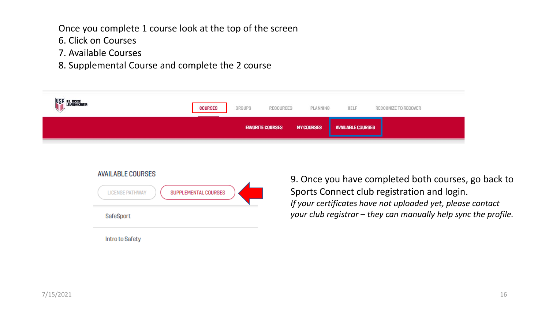Once you complete 1 course look at the top of the screen

- 6. Click on Courses
- 7. Available Courses
- 8. Supplemental Course and complete the 2 course

| USP US SOCCER<br>ILLIARNING CENTER | <b>COURSES</b> | GROUPS | RESOURCES               | PLANNING          | HELP                    | RECOGNIZE TO RECOVER |
|------------------------------------|----------------|--------|-------------------------|-------------------|-------------------------|----------------------|
|                                    |                |        | <b>FAVORITE COURSES</b> | <b>MY COURSES</b> | <b>NAILABLE COURSES</b> |                      |

| <b>AVAILABLE COURSES</b>                       |  |
|------------------------------------------------|--|
| SUPPLEMENTAL COURSES<br><b>LICENSE PATHWAY</b> |  |
| SafeSport                                      |  |
| Intro to Safety                                |  |

9. Once you have completed both courses, go back to Sports Connect club registration and login. *If your certificates have not uploaded yet, please contact your club registrar – they can manually help sync the profile.*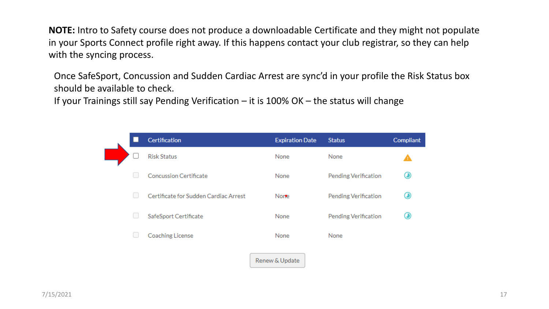**NOTE:** Intro to Safety course does not produce a downloadable Certificate and they might not populate in your Sports Connect profile right away. If this happens contact your club registrar, so they can help with the syncing process.

Once SafeSport, Concussion and Sudden Cardiac Arrest are sync'd in your profile the Risk Status box should be available to check.

If your Trainings still say Pending Verification – it is 100% OK – the status will change

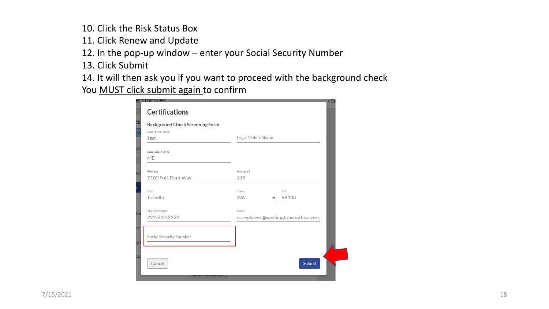10. Click the Risk Status Box

- 11. Click Renew and Update
- 12. In the pop-up window enter your Social Security Number
- 13. Click Submit
- 14. It will then ask you if you want to proceed with the background check

You **MUST click submit again to confirm** 

| <b>Background Check Screening Form</b> |                                     |
|----------------------------------------|-------------------------------------|
| Legal First Name                       |                                     |
| <b>Test</b>                            | Legal Middle Name                   |
|                                        |                                     |
| Legal Last Name                        |                                     |
| <b>ME</b>                              |                                     |
| Address                                | Address 2                           |
| 7100 Fort Dent Way                     | 215                                 |
|                                        |                                     |
| City                                   | State<br>ZIP                        |
| Tukwila                                | 98188<br><b>WA</b>                  |
| Phone Number                           | Email                               |
| 222-222-2222                           | noreplytest@washingtonyouthsoccer.c |
|                                        |                                     |
|                                        |                                     |
| <b>Social Security Number</b>          |                                     |
|                                        |                                     |
|                                        |                                     |